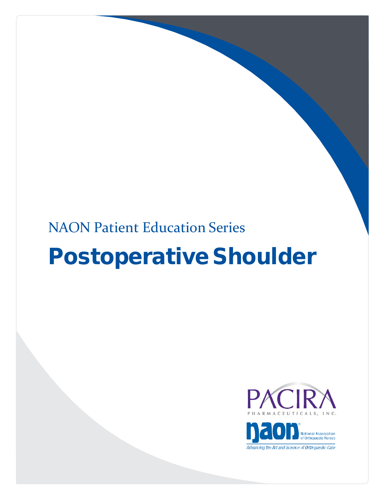## NAON Patient Education Series

# Postoperative Shoulder



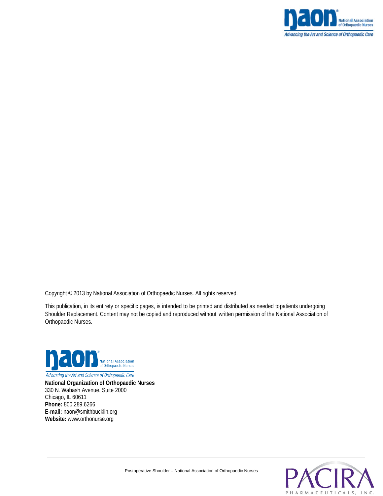

Copyright © 2013 by National Association of Orthopaedic Nurses. All rights reserved.

This publication, in its entirety or specific pages, is intended to be printed and distributed as needed topatients undergoing Shoulder Replacement. Content may not be copied and reproduced without written permission of the National Association of Orthopaedic Nurses.



Advancing the Art and Science of Orthopaedic Care

**National Organization of Orthopaedic Nurses** 330 N. Wabash Avenue, Suite 2000 Chicago, IL 60611 **Phone:** 800.289.6266 **E-mail:** naon@smithbucklin.org **Website:** www.orthonurse.org

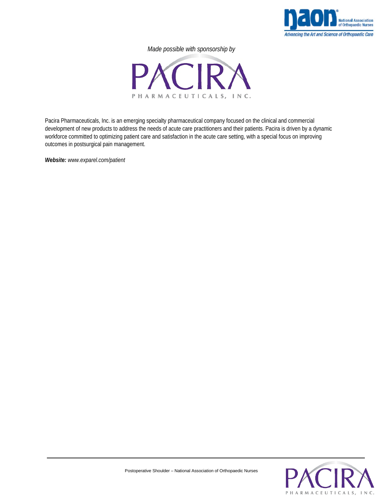

*Made possible with sponsorship by*



Pacira Pharmaceuticals, Inc. is an emerging specialty pharmaceutical company focused on the clinical and commercial development of new products to address the needs of acute care practitioners and their patients. Pacira is driven by a dynamic workforce committed to optimizing patient care and satisfaction in the acute care setting, with a special focus on improving outcomes in postsurgical pain management.

*Website: www.exparel.com/patient*

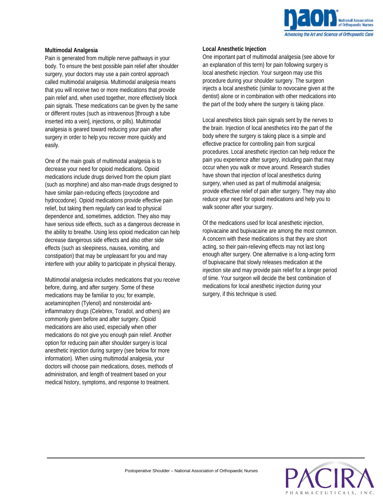

#### **Multimodal Analgesia**

Pain is generated from multiple nerve pathways in your body. To ensure the best possible pain relief after shoulder surgery, your doctors may use a pain control approach called multimodal analgesia. Multimodal analgesia means that you will receive two or more medications that provide pain relief and, when used together, more effectively block pain signals. These medications can be given by the same or different routes (such as intravenous [through a tube inserted into a vein], injections, or pills). Multimodal analgesia is geared toward reducing your pain after surgery in order to help you recover more quickly and easily.

One of the main goals of multimodal analgesia is to decrease your need for opioid medications. Opioid medications include drugs derived from the opium plant (such as morphine) and also man-made drugs designed to have similar pain-reducing effects (oxycodone and hydrocodone). Opioid medications provide effective pain relief, but taking them regularly can lead to physical dependence and, sometimes, addiction. They also may have serious side effects, such as a dangerous decrease in the ability to breathe. Using less opioid medication can help decrease dangerous side effects and also other side effects (such as sleepiness, nausea, vomiting, and constipation) that may be unpleasant for you and may interfere with your ability to participate in physical therapy.

Multimodal analgesia includes medications that you receive before, during, and after surgery. Some of these medications may be familiar to you; for example, acetaminophen (Tylenol) and nonsteroidal antiinflammatory drugs (Celebrex, Toradol, and others) are commonly given before and after surgery. Opioid medications are also used, especially when other medications do not give you enough pain relief. Another option for reducing pain after shoulder surgery is local anesthetic injection during surgery (see below for more information). When using multimodal analgesia, your doctors will choose pain medications, doses, methods of administration, and length of treatment based on your medical history, symptoms, and response to treatment.

#### **Local Anesthetic Injection**

One important part of multimodal analgesia (see above for an explanation of this term) for pain following surgery is local anesthetic injection. Your surgeon may use this procedure during your shoulder surgery. The surgeon injects a local anesthetic (similar to novocaine given at the dentist) alone or in combination with other medications into the part of the body where the surgery is taking place.

Local anesthetics block pain signals sent by the nerves to the brain. Injection of local anesthetics into the part of the body where the surgery is taking place is a simple and effective practice for controlling pain from surgical procedures. Local anesthetic injection can help reduce the pain you experience after surgery, including pain that may occur when you walk or move around. Research studies have shown that injection of local anesthetics during surgery, when used as part of multimodal analgesia; provide effective relief of pain after surgery. They may also reduce your need for opioid medications and help you to walk sooner after your surgery.

Of the medications used for local anesthetic injection, ropivacaine and bupivacaine are among the most common. A concern with these medications is that they are short acting, so their pain-relieving effects may not last long enough after surgery. One alternative is a long-acting form of bupivacaine that slowly releases medication at the injection site and may provide pain relief for a longer period of time. Your surgeon will decide the best combination of medications for local anesthetic injection during your surgery, if this technique is used.

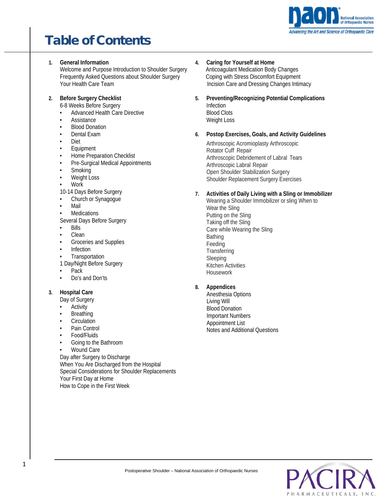

## Table of Contents

- **1. General Information** Welcome and Purpose Introduction to Shoulder Surgery Frequently Asked Questions about Shoulder Surgery Your Health Care Team
- **2. Before Surgery Checklist**
	- 6-8 Weeks Before Surgery
	- Advanced Health Care Directive
	- Assistance
	- Blood Donation
	- Dental Exam
	- Diet
	- Equipment
	- Home Preparation Checklist
	- Pre-Surgical Medical Appointments
	- Smoking
	- Weight Loss
	- Work
	- 10-14 Days Before Surgery
	- Church or Synagogue
	- Mail
	- **Medications**
	- Several Days Before Surgery • Bills
	-
	- Clean
	- Groceries and Supplies
	- **Infection**
	- **Transportation**
	- 1 Day/Night Before Surgery
	- Pack
	- Do's and Don'ts

## **3. Hospital Care**

- Day of Surgery
- Activity
- **Breathing**
- **Circulation**
- Pain Control
- Food/Fluids
- Going to the Bathroom
- Wound Care

Day after Surgery to Discharge When You Are Discharged from the Hospital Special Considerations for Shoulder Replacements Your First Day at Home How to Cope in the First Week

- **4. Caring for Yourself at Home** Anticoagulant Medication Body Changes Coping with Stress Discomfort Equipment Incision Care and Dressing Changes Intimacy
- **5. Preventing/Recognizing Potential Complications** Infection Blood Clots Weight Loss

## **6. Postop Exercises, Goals, and Activity Guidelines**

Arthroscopic Acromioplasty Arthroscopic Rotator Cuff Repair Arthroscopic Debridement of Labral Tears Arthroscopic Labral Repair Open Shoulder Stabilization Surgery Shoulder Replacement Surgery Exercises

## **7. Activities of Daily Living with a Sling or Immobilizer**

Wearing a Shoulder Immobilizer or sling When to Wear the Sling Putting on the Sling Taking off the Sling Care while Wearing the Sling Bathing Feeding **Transferring** Sleeping Kitchen Activities Housework

## **8. Appendices**

 Anesthesia Options Living Will Blood Donation Important Numbers Appointment List Notes and Additional Questions

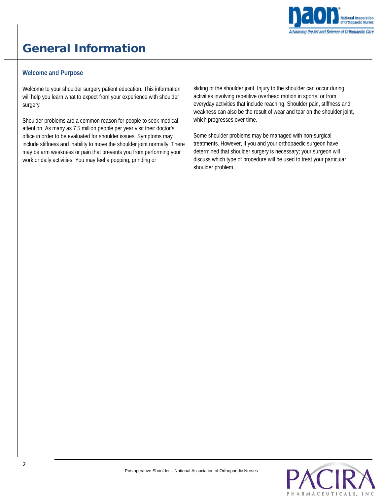

## General Information

## **Welcome and Purpose**

Welcome to your shoulder surgery patient education. This information will help you learn what to expect from your experience with shoulder surgery

Shoulder problems are a common reason for people to seek medical attention. As many as 7.5 million people per year visit their doctor's office in order to be evaluated for shoulder issues. Symptoms may include stiffness and inability to move the shoulder joint normally. There may be arm weakness or pain that prevents you from performing your work or daily activities. You may feel a popping, grinding or

sliding of the shoulder joint. Injury to the shoulder can occur during activities involving repetitive overhead motion in sports, or from everyday activities that include reaching. Shoulder pain, stiffness and weakness can also be the result of wear and tear on the shoulder joint, which progresses over time.

Some shoulder problems may be managed with non-surgical treatments. However, if you and your orthopaedic surgeon have determined that shoulder surgery is necessary; your surgeon will discuss which type of procedure will be used to treat your particular shoulder problem.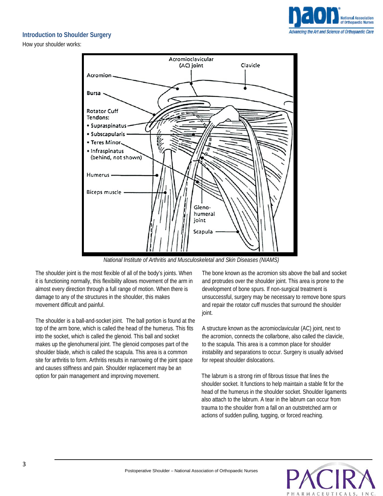

## **Introduction to Shoulder Surgery**

How your shoulder works:



*National Institute of Arthritis and Musculoskeletal and Skin Diseases (NIAMS)*

The shoulder joint is the most flexible of all of the body's joints. When it is functioning normally, this flexibility allows movement of the arm in almost every direction through a full range of motion. When there is damage to any of the structures in the shoulder, this makes movement difficult and painful.

The shoulder is a ball-and-socket joint. The ball portion is found at the top of the arm bone, which is called the head of the humerus. This fits into the socket, which is called the glenoid. This ball and socket makes up the glenohumeral joint. The glenoid composes part of the shoulder blade, which is called the scapula. This area is a common site for arthritis to form. Arthritis results in narrowing of the joint space and causes stiffness and pain. Shoulder replacement may be an option for pain management and improving movement.

The bone known as the acromion sits above the ball and socket and protrudes over the shoulder joint. This area is prone to the development of bone spurs. If non-surgical treatment is unsuccessful, surgery may be necessary to remove bone spurs and repair the rotator cuff muscles that surround the shoulder joint.

A structure known as the acromioclavicular (AC) joint, next to the acromion, connects the collarbone, also called the clavicle, to the scapula. This area is a common place for shoulder instability and separations to occur. Surgery is usually advised for repeat shoulder dislocations.

The labrum is a strong rim of fibrous tissue that lines the shoulder socket. It functions to help maintain a stable fit for the head of the humerus in the shoulder socket. Shoulder ligaments also attach to the labrum. A tear in the labrum can occur from trauma to the shoulder from a fall on an outstretched arm or actions of sudden pulling, tugging, or forced reaching.

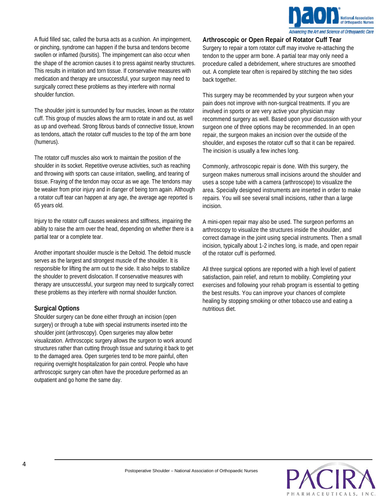

A fluid filled sac, called the bursa acts as a cushion. An impingement, or pinching, syndrome can happen if the bursa and tendons become swollen or inflamed (bursitis). The impingement can also occur when the shape of the acromion causes it to press against nearby structures. This results in irritation and torn tissue. If conservative measures with medication and therapy are unsuccessful, your surgeon may need to surgically correct these problems as they interfere with normal shoulder function.

The shoulder joint is surrounded by four muscles, known as the rotator cuff. This group of muscles allows the arm to rotate in and out, as well as up and overhead. Strong fibrous bands of connective tissue, known as tendons, attach the rotator cuff muscles to the top of the arm bone (humerus).

The rotator cuff muscles also work to maintain the position of the shoulder in its socket. Repetitive overuse activities, such as reaching and throwing with sports can cause irritation, swelling, and tearing of tissue. Fraying of the tendon may occur as we age. The tendons may be weaker from prior injury and in danger of being torn again. Although a rotator cuff tear can happen at any age, the average age reported is 65 years old.

Injury to the rotator cuff causes weakness and stiffness, impairing the ability to raise the arm over the head, depending on whether there is a partial tear or a complete tear.

Another important shoulder muscle is the Deltoid. The deltoid muscle serves as the largest and strongest muscle of the shoulder. It is responsible for lifting the arm out to the side. It also helps to stabilize the shoulder to prevent dislocation. If conservative measures with therapy are unsuccessful, your surgeon may need to surgically correct these problems as they interfere with normal shoulder function.

## **Surgical Options**

Shoulder surgery can be done either through an incision (open surgery) or through a tube with special instruments inserted into the shoulder joint (arthroscopy). Open surgeries may allow better visualization. Arthroscopic surgery allows the surgeon to work around structures rather than cutting through tissue and suturing it back to get to the damaged area. Open surgeries tend to be more painful, often requiring overnight hospitalization for pain control. People who have arthroscopic surgery can often have the procedure performed as an outpatient and go home the same day.

**Arthroscopic or Open Repair of Rotator Cuff Tear** Surgery to repair a torn rotator cuff may involve re-attaching the tendon to the upper arm bone. A partial tear may only need a procedure called a debridement, where structures are smoothed out. A complete tear often is repaired by stitching the two sides back together.

This surgery may be recommended by your surgeon when your pain does not improve with non-surgical treatments. If you are involved in sports or are very active your physician may recommend surgery as well. Based upon your discussion with your surgeon one of three options may be recommended. In an open repair, the surgeon makes an incision over the outside of the shoulder, and exposes the rotator cuff so that it can be repaired. The incision is usually a few inches long.

Commonly, arthroscopic repair is done. With this surgery, the surgeon makes numerous small incisions around the shoulder and uses a scope tube with a camera (arthroscope) to visualize the area. Specially designed instruments are inserted in order to make repairs. You will see several small incisions, rather than a large incision.

A mini-open repair may also be used. The surgeon performs an arthroscopy to visualize the structures inside the shoulder, and correct damage in the joint using special instruments. Then a small incision, typically about 1-2 inches long, is made, and open repair of the rotator cuff is performed.

All three surgical options are reported with a high level of patient satisfaction, pain relief, and return to mobility. Completing your exercises and following your rehab program is essential to getting the best results. You can improve your chances of complete healing by stopping smoking or other tobacco use and eating a nutritious diet.

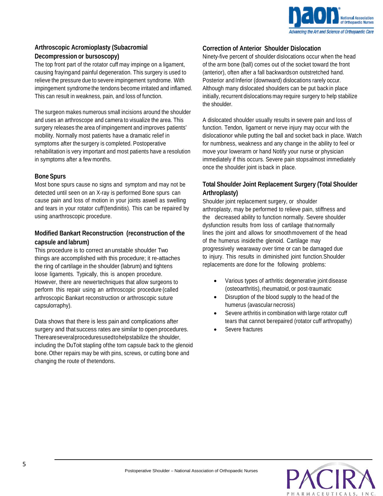

## **Arthroscopic Acromioplasty (Subacromial Decompression or bursoscopy)**

The top front part of the rotator cuff may impinge on a ligament, causing frayingand painful degeneration. This surgery is used to relieve the pressure due to severe impingement syndrome. With impingement syndrome the tendons become irritated and inflamed. This can result in weakness, pain, and loss of function.

The surgeon makes numerous small incisions around the shoulder and uses an arthroscope and camera to visualize the area. This surgery releases the area of impingement and improves patients' mobility. Normally most patients have a dramatic relief in symptoms after the surgery is completed. Postoperative rehabilitation is very important and most patients have a resolution in symptoms after a fewmonths.

## **Bone Spurs**

Most bone spurs cause no signs and symptom and may not be detected until seen on an X-ray is performed Bone spurs can cause pain and loss of motion in your joints aswell as swelling and tears in your rotator cuff(tendinitis). This can be repaired by using anarthroscopic procedure.

## **Modified Bankart Reconstruction (reconstruction of the capsule and labrum)**

This procedure is to correct an unstable shoulder Two things are accomplished with this procedure; it re-attaches the ring of cartilage in the shoulder (labrum) and tightens loose ligaments. Typically, this is anopen procedure. However, there are newertechniques that allow surgeons to perform this repair using an arthroscopic procedure (called arthroscopic Bankart reconstruction or arthroscopic suture capsulorraphy).

Data shows that there is less pain and complications after surgery and that success rates are similar to open procedures. Thereareseveralproceduresusedtohelpstabilize the shoulder, including the DuToit stapling ofthe torn capsule back to the glenoid bone. Other repairs may be with pins, screws, or cutting bone and changing the route of thetendons.

## **Correction of Anterior Shoulder Dislocation**

Ninety-five percent of shoulder dislocations occur when the head of the arm bone (ball) comes out of the socket toward the front (anterior), often after a fall backwardson outstretched hand. Posterior and Inferior (downward) dislocations rarely occur. Although many dislocated shoulders can be put back in place initially, recurrent dislocations may require surgery to help stabilize the shoulder.

A dislocated shoulder usually results in severe pain and loss of function. Tendon, ligament or nerve injury may occur with the dislocationor while putting the ball and socket back in place. Watch for numbness, weakness and any change in the ability to feel or move your lowerarm or hand Notify your nurse or physician immediately if this occurs. Severe pain stopsalmost immediately once the shoulder joint is back in place.

## **Total Shoulder Joint Replacement Surgery (Total Shoulder Arthroplasty)**

Shoulder joint replacement surgery, or shoulder arthroplasty, may be performed to relieve pain, stiffness and the decreased ability to function normally. Severe shoulder dysfunction results from loss of cartilage that normally lines the joint and allows for smoothmovement of the head of the humerus insidethe glenoid. Cartilage may progressively wearaway over time or can be damaged due to injury. This results in diminished joint function.Shoulder replacements are done for the following problems:

- Various types of arthritis: degenerative joint disease (osteoarthritis), rheumatoid, or post-traumatic
- Disruption of the blood supply to the head of the humerus (avascular necrosis)
- Severe arthritis in combination with large rotator cuff tears that cannot berepaired (rotator cuff arthropathy)
- Severe fractures

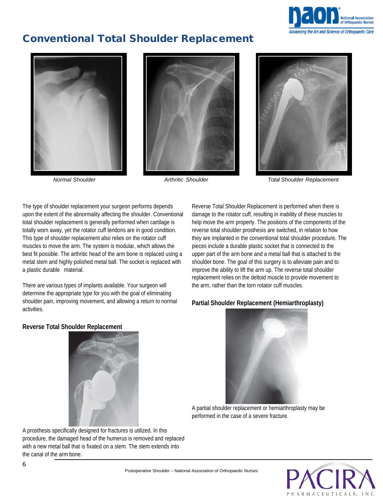

## Conventional Total Shoulder Replacement







The type of shoulder replacement your surgeon performs depends upon the extent of the abnormality affecting the shoulder. Conventional total shoulder replacement is generally performed when cartilage is

totally worn away, yet the rotator cuff tendons are in good condition. This type of shoulder replacement also relies on the rotator cuff muscles to move the arm. The system is modular, which allows the best fit possible. The arthritic head of the arm bone is replaced using a metal stem and highly polished metal ball. The socket is replaced with a plastic durable material.

There are various types of implants available. Your surgeon will determine the appropriate type for you with the goal of eliminating shoulder pain, improving movement, and allowing a return to normal activities.

Reverse Total Shoulder Replacement is performed when there is damage to the rotator cuff, resulting in inability of these muscles to help move the arm properly. The positions of the components of the reverse total shoulder prosthesis are switched, in relation to how they are implanted in the conventional total shoulder procedure. The pieces include a durable plastic socket that is connected to the upper part of the arm bone and a metal ball that is attached to the shoulder bone. The goal of this surgery is to alleviate pain and to improve the ability to lift the arm up. The reverse total shoulder replacement relies on the deltoid muscle to provide movement to the arm, rather than the torn rotator cuff muscles.

## **Partial Shoulder Replacement (Hemiarthroplasty)**



A partial shoulder replacement or hemiarthroplasty may be performed in the case of a severe fracture.



A prosthesis specifically designed for fractures is utilized. In this procedure, the damaged head of the humerus is removed and replaced with a new metal ball that is fixated on a stem. The stem extends into the canal of the arm bone.

**PACIR**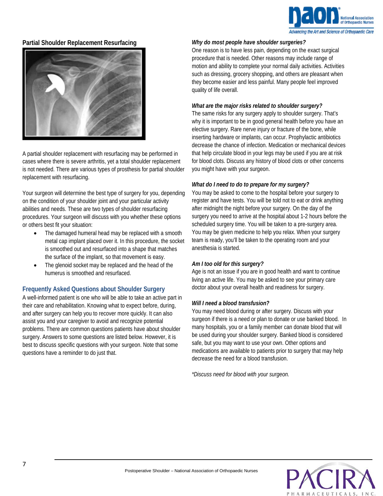

## **Partial Shoulder Replacement Resurfacing**



A partial shoulder replacement with resurfacing may be performed in cases where there is severe arthritis, yet a total shoulder replacement is not needed. There are various types of prosthesis for partial shoulder replacement with resurfacing.

Your surgeon will determine the best type of surgery for you, depending on the condition of your shoulder joint and your particular activity abilities and needs. These are two types of shoulder resurfacing procedures. Your surgeon will discuss with you whether these options or others best fit your situation:

- The damaged humeral head may be replaced with a smooth metal cap implant placed over it. In this procedure, the socket is smoothed out and resurfaced into a shape that matches the surface of the implant, so that movement is easy.
- The glenoid socket may be replaced and the head of the humerus is smoothed and resurfaced.

## **Frequently Asked Questions about Shoulder Surgery**

A well-informed patient is one who will be able to take an active part in their care and rehabilitation. Knowing what to expect before, during, and after surgery can help you to recover more quickly. It can also assist you and your caregiver to avoid and recognize potential problems. There are common questions patients have about shoulder surgery. Answers to some questions are listed below. However, it is best to discuss specific questions with your surgeon. Note that some questions have a reminder to do just that.

#### *Why do most people have shoulder surgeries?*

One reason is to have less pain, depending on the exact surgical procedure that is needed. Other reasons may include range of motion and ability to complete your normal daily activities. Activities such as dressing, grocery shopping, and others are pleasant when they become easier and less painful. Many people feel improved quality of life overall.

#### *What are the major risks related to shoulder surgery?*

The same risks for any surgery apply to shoulder surgery. That's why it is important to be in good general health before you have an elective surgery. Rare nerve injury or fracture of the bone, while inserting hardware or implants, can occur. Prophylactic antibiotics decrease the chance of infection. Medication or mechanical devices that help circulate blood in your legs may be used if you are at risk for blood clots. Discuss any history of blood clots or other concerns you might have with your surgeon.

## *What do I need to do to prepare for my surgery?*

You may be asked to come to the hospital before your surgery to register and have tests. You will be told not to eat or drink anything after midnight the night before your surgery. On the day of the surgery you need to arrive at the hospital about 1-2 hours before the scheduled surgery time. You will be taken to a pre-surgery area. You may be given medicine to help you relax. When your surgery team is ready, you'll be taken to the operating room and your anesthesia is started.

#### *Am I too old for this surgery?*

Age is not an issue if you are in good health and want to continue living an active life. You may be asked to see your primary care doctor about your overall health and readiness for surgery.

## *Will I need a blood transfusion?*

You may need blood during or after surgery. Discuss with your surgeon if there is a need or plan to donate or use banked blood. In many hospitals, you or a family member can donate blood that will be used during your shoulder surgery. Banked blood is considered safe, but you may want to use your own. Other options and medications are available to patients prior to surgery that may help decrease the need for a blood transfusion.

*\*Discuss need for blood with your surgeon.*

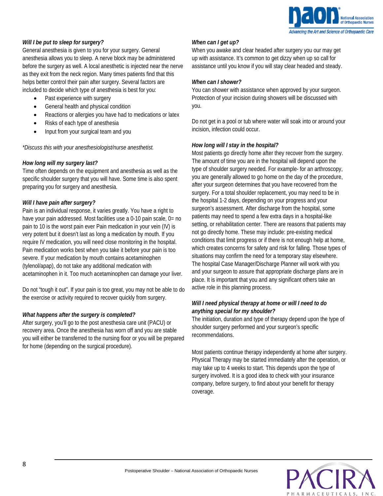

## *Will I be put to sleep for surgery?*

General anesthesia is given to you for your surgery. General anesthesia allows you to sleep. A nerve block may be administered before the surgery as well. A local anesthetic is injected near the nerve as they exit from the neck region. Many times patients find that this helps better control their pain after surgery. Several factors are included to decide which type of anesthesia is best for you:

- Past experience with surgery
- General health and physical condition
- Reactions or allergies you have had to medications or latex
- Risks of each type of anesthesia
- Input from your surgical team and you

*\*Discuss this with your anesthesiologist/nurse anesthetist.*

#### *How long will my surgery last?*

Time often depends on the equipment and anesthesia as well as the specific shoulder surgery that you will have. Some time is also spent preparing you for surgery and anesthesia.

#### *Will I have pain after surgery?*

Pain is an individual response, it varies greatly. You have a right to have your pain addressed. Most facilities use a 0-10 pain scale, 0= no pain to 10 is the worst pain ever Pain medication in your vein (IV) is very potent but it doesn't last as long a medication by mouth. If you require IV medication, you will need close monitoring in the hospital. Pain medication works best when you take it before your pain is too severe. If your medication by mouth contains acetaminophen (tylenol/apap), do not take any additional medication with acetaminophen in it. Too much acetaminophen can damage your liver.

Do not "tough it out". If your pain is too great, you may not be able to do the exercise or activity required to recover quickly from surgery.

#### *What happens after the surgery is completed?*

After surgery, you'll go to the post anesthesia care unit (PACU) or recovery area. Once the anesthesia has worn off and you are stable you will either be transferred to the nursing floor or you will be prepared for home (depending on the surgical procedure).

#### *When can I get up?*

When you awake and clear headed after surgery you our may get up with assistance. It's common to get dizzy when up so call for assistance until you know if you will stay clear headed and steady.

#### *When can I shower?*

You can shower with assistance when approved by your surgeon. Protection of your incision during showers will be discussed with you.

Do not get in a pool or tub where water will soak into or around your incision, infection could occur.

#### *How long will I stay in the hospital?*

Most patients go directly home after they recover from the surgery. The amount of time you are in the hospital will depend upon the type of shoulder surgery needed. For example- for an arthroscopy, you are generally allowed to go home on the day of the procedure, after your surgeon determines that you have recovered from the surgery. For a total shoulder replacement, you may need to be in the hospital 1-2 days, depending on your progress and your surgeon's assessment. After discharge from the hospital, some patients may need to spend a few extra days in a hospital-like setting, or rehabilitation center. There are reasons that patients may not go directly home. These may include: pre-existing medical conditions that limit progress or if there is not enough help at home, which creates concerns for safety and risk for falling. Those types of situations may confirm the need for a temporary stay elsewhere. The hospital Case Manager/Discharge Planner will work with you and your surgeon to assure that appropriate discharge plans are in place. It is important that you and any significant others take an active role in this planning process.

## *Will I need physical therapy at home or will I need to do anything special for my shoulder?*

The initiation, duration and type of therapy depend upon the type of shoulder surgery performed and your surgeon's specific recommendations.

Most patients continue therapy independently at home after surgery. Physical Therapy may be started immediately after the operation, or may take up to 4 weeks to start. This depends upon the type of surgery involved. It is a good idea to check with your insurance company, before surgery, to find about your benefit for therapy coverage.

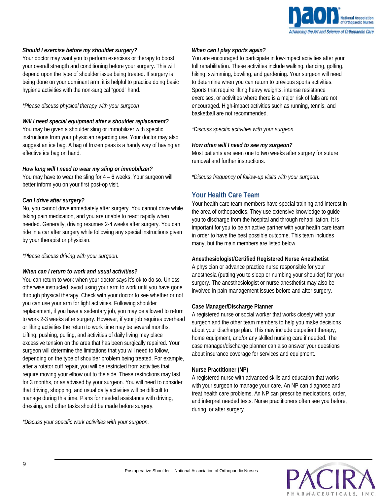

#### *Should I exercise before my shoulder surgery?*

Your doctor may want you to perform exercises or therapy to boost your overall strength and conditioning before your surgery. This will depend upon the type of shoulder issue being treated. If surgery is being done on your dominant arm, it is helpful to practice doing basic hygiene activities with the non-surgical "good" hand.

#### *\*Please discuss physical therapy with your surgeon*

#### *Will I need special equipment after a shoulder replacement?*

You may be given a shoulder sling or immobilizer with specific instructions from your physician regarding use. Your doctor may also suggest an ice bag. A bag of frozen peas is a handy way of having an effective ice bag on hand.

#### *How long will I need to wear my sling or immobilizer?*

You may have to wear the sling for 4 – 6 weeks. Your surgeon will better inform you on your first post-op visit.

#### *Can I drive after surgery?*

No, you cannot drive immediately after surgery. You cannot drive while taking pain medication, and you are unable to react rapidly when needed. Generally, driving resumes 2-4 weeks after surgery. You can ride in a car after surgery while following any special instructions given by your therapist or physician.

*\*Please discuss driving with your surgeon.*

#### *When can I return to work and usual activities?*

You can return to work when your doctor says it's ok to do so. Unless otherwise instructed, avoid using your arm to work until you have gone through physical therapy. Check with your doctor to see whether or not you can use your arm for light activities. Following shoulder replacement, if you have a sedentary job, you may be allowed to return to work 2-3 weeks after surgery. However, if your job requires overhead or lifting activities the return to work time may be several months. Lifting, pushing, pulling, and activities of daily living may place excessive tension on the area that has been surgically repaired. Your surgeon will determine the limitations that you will need to follow, depending on the type of shoulder problem being treated. For example, after a rotator cuff repair, you will be restricted from activities that require moving your elbow out to the side. These restrictions may last for 3 months, or as advised by your surgeon. You will need to consider that driving, shopping, and usual daily activities will be difficult to manage during this time. Plans for needed assistance with driving, dressing, and other tasks should be made before surgery.

*\*Discuss your specific work activities with your surgeon.*

#### *When can I play sports again?*

You are encouraged to participate in low-impact activities after your full rehabilitation. These activities include walking, dancing, golfing, hiking, swimming, bowling, and gardening. Your surgeon will need to determine when you can return to previous sports activities. Sports that require lifting heavy weights, intense resistance exercises, or activities where there is a major risk of falls are not encouraged. High-impact activities such as running, tennis, and basketball are not recommended.

*\*Discuss specific activities with your surgeon.*

#### *How often will I need to see my surgeon?*

Most patients are seen one to two weeks after surgery for suture removal and further instructions.

*\*Discuss frequency of follow-up visits with your surgeon.*

## **Your Health Care Team**

Your health care team members have special training and interest in the area of orthopaedics. They use extensive knowledge to guide you to discharge from the hospital and through rehabilitation. It is important for you to be an active partner with your health care team in order to have the best possible outcome. This team includes many, but the main members are listed below.

## **Anesthesiologist/Certified Registered Nurse Anesthetist**

A physician or advance practice nurse responsible for your anesthesia (putting you to sleep or numbing your shoulder) for your surgery. The anesthesiologist or nurse anesthetist may also be involved in pain management issues before and after surgery.

## **Case Manager/Discharge Planner**

A registered nurse or social worker that works closely with your surgeon and the other team members to help you make decisions about your discharge plan. This may include outpatient therapy, home equipment, and/or any skilled nursing care if needed. The case manager/discharge planner can also answer your questions about insurance coverage for services and equipment.

#### **Nurse Practitioner (NP)**

A registered nurse with advanced skills and education that works with your surgeon to manage your care. An NP can diagnose and treat health care problems. An NP can prescribe medications, order, and interpret needed tests. Nurse practitioners often see you before, during, or after surgery.

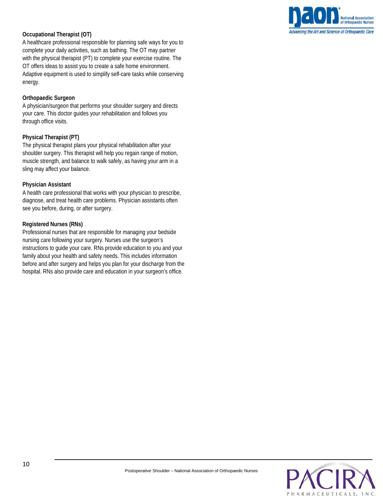## **Occupational Therapist (OT)**

A healthcare professional responsible for planning safe ways for you to complete your daily activities, such as bathing. The OT may partner with the physical therapist (PT) to complete your exercise routine. The OT offers ideas to assist you to create a safe home environment. Adaptive equipment is used to simplify self-care tasks while conserving energy.

## **Orthopaedic Surgeon**

A physician/surgeon that performs your shoulder surgery and directs your care. This doctor guides your rehabilitation and follows you through office visits.

## **Physical Therapist (PT)**

The physical therapist plans your physical rehabilitation after your shoulder surgery. This therapist will help you regain range of motion, muscle strength, and balance to walk safely, as having your arm in a sling may affect your balance.

## **Physician Assistant**

A health care professional that works with your physician to prescribe, diagnose, and treat health care problems. Physician assistants often see you before, during, or after surgery.

## **Registered Nurses (RNs)**

Professional nurses that are responsible for managing your bedside nursing care following your surgery. Nurses use the surgeon's instructions to guide your care. RNs provide education to you and your family about your health and safety needs. This includes information before and after surgery and helps you plan for your discharge from the hospital. RNs also provide care and education in your surgeon's office.

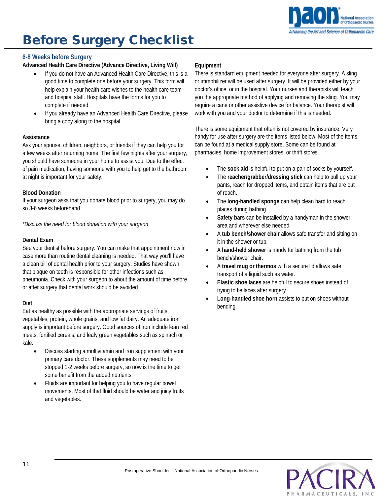

## Before Surgery Checklist

## **6-8 Weeks before Surgery**

## **Advanced Health Care Directive (Advance Directive, Living Will)**

- If you do not have an Advanced Health Care Directive, this is a good time to complete one before your surgery. This form will help explain your health care wishes to the health care team and hospital staff. Hospitals have the forms for you to complete if needed.
- If you already have an Advanced Health Care Directive, please bring a copy along to the hospital.

#### **Assistance**

Ask your spouse, children, neighbors, or friends if they can help you for a few weeks after returning home. The first few nights after your surgery, you should have someone in your home to assist you. Due to the effect of pain medication, having someone with you to help get to the bathroom at night is important for your safety.

#### **Blood Donation**

If your surgeon asks that you donate blood prior to surgery, you may do so 3-6 weeks beforehand.

*\*Discuss the need for blood donation with your surgeon*

#### **Dental Exam**

See your dentist before surgery. You can make that appointment now in case more than routine dental cleaning is needed. That way you'll have a clean bill of dental health prior to your surgery. Studies have shown that plaque on teeth is responsible for other infections such as pneumonia. Check with your surgeon to about the amount of time before or after surgery that dental work should be avoided.

## **Diet**

Eat as healthy as possible with the appropriate servings of fruits, vegetables, protein, whole grains, and low fat dairy. An adequate iron supply is important before surgery. Good sources of iron include lean red meats, fortified cereals, and leafy green vegetables such as spinach or kale.

- Discuss starting a multivitamin and iron supplement with your primary care doctor. These supplements may need to be stopped 1-2 weeks before surgery, so now is the time to get some benefit from the added nutrients.
- Fluids are important for helping you to have regular bowel movements. Most of that fluid should be water and juicy fruits and vegetables.

#### **Equipment**

There is standard equipment needed for everyone after surgery. A sling or immobilizer will be used after surgery. It will be provided either by your doctor's office, or in the hospital. Your nurses and therapists will teach you the appropriate method of applying and removing the sling. You may require a cane or other assistive device for balance. Your therapist will work with you and your doctor to determine if this is needed.

There is some equipment that often is not covered by insurance. Very handy for use after surgery are the items listed below. Most of the items can be found at a medical supply store. Some can be found at pharmacies, home improvement stores, or thrift stores.

- The sock aid is helpful to put on a pair of socks by yourself.
- The **reacher/grabber/dressing stick** can help to pull up your pants, reach for dropped items, and obtain items that are out of reach.
- The **long-handled sponge** can help clean hard to reach places during bathing.
- **Safety bars** can be installed by a handyman in the shower area and wherever else needed.
- A **tub bench/shower chair** allows safe transfer and sitting on it in the shower or tub.
- A **hand-held shower** is handy for bathing from the tub bench/shower chair.
- A **travel mug or thermos** with a secure lid allows safe transport of a liquid such as water.
- **Elastic shoe laces** are helpful to secure shoes instead of trying to tie laces after surgery.
- **Long-handled shoe horn** assists to put on shoes without bending.

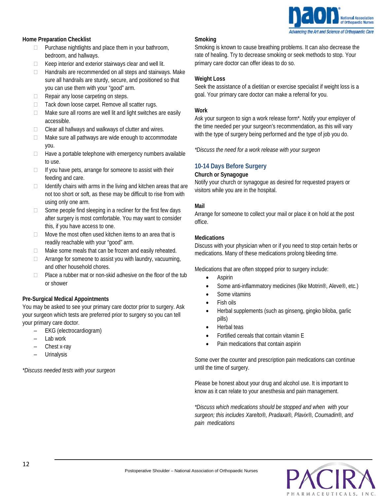

#### **Home Preparation Checklist**

- $\Box$  Purchase nightlights and place them in your bathroom, bedroom, and hallways.
- $\Box$  Keep interior and exterior stairways clear and well lit.
- $\Box$  Handrails are recommended on all steps and stairways. Make sure all handrails are sturdy, secure, and positioned so that you can use them with your "good" arm.
- $\Box$  Repair any loose carpeting on steps.
- $\Box$  Tack down loose carpet. Remove all scatter rugs.
- $\Box$  Make sure all rooms are well lit and light switches are easily accessible.
- $\Box$  Clear all hallways and walkways of clutter and wires.
- □ Make sure all pathways are wide enough to accommodate you.
- $\Box$  Have a portable telephone with emergency numbers available to use.
- $\Box$  If you have pets, arrange for someone to assist with their feeding and care.
- $\Box$  Identify chairs with arms in the living and kitchen areas that are not too short or soft, as these may be difficult to rise from with using only one arm.
- $\Box$  Some people find sleeping in a recliner for the first few days after surgery is most comfortable. You may want to consider this, if you have access to one.
- Move the most often used kitchen items to an area that is readily reachable with your "good" arm.
- $\Box$  Make some meals that can be frozen and easily reheated.
- $\Box$  Arrange for someone to assist you with laundry, vacuuming, and other household chores.
- $\Box$  Place a rubber mat or non-skid adhesive on the floor of the tub or shower

#### **Pre-Surgical Medical Appointments**

You may be asked to see your primary care doctor prior to surgery. Ask your surgeon which tests are preferred prior to surgery so you can tell your primary care doctor.

- EKG (electrocardiogram)
- Lab work
- Chest x-ray
- **Urinalysis**

*\*Discuss needed tests with your surgeon*

#### **Smoking**

Smoking is known to cause breathing problems. It can also decrease the rate of healing. Try to decrease smoking or seek methods to stop. Your primary care doctor can offer ideas to do so.

#### **Weight Loss**

Seek the assistance of a dietitian or exercise specialist if weight loss is a goal. Your primary care doctor can make a referral for you.

#### **Work**

Ask your surgeon to sign a work release form\*. Notify your employer of the time needed per your surgeon's recommendation, as this will vary with the type of surgery being performed and the type of job you do.

*\*Discuss the need for a work release with your surgeon*

## **10-14 Days Before Surgery**

#### **Church or Synagogue**

Notify your church or synagogue as desired for requested prayers or visitors while you are in the hospital.

#### **Mail**

Arrange for someone to collect your mail or place it on hold at the post office.

#### **Medications**

Discuss with your physician when or if you need to stop certain herbs or medications. Many of these medications prolong bleeding time.

Medications that are often stopped prior to surgery include:

- Aspirin
- Some anti-inflammatory medicines (like Motrin®, Aleve®, etc.)
- Some vitamins
- Fish oils
- Herbal supplements (such as ginseng, gingko biloba, garlic pills)
- Herbal teas
- Fortified cereals that contain vitamin E
- Pain medications that contain aspirin

Some over the counter and prescription pain medications can continue until the time of surgery.

Please be honest about your drug and alcohol use. It is important to know as it can relate to your anesthesia and pain management.

*\*Discuss which medications should be stopped and when with your surgeon; this includes Xarelto®, Pradaxa®, Plavix®, Coumadin®, and pain medications*

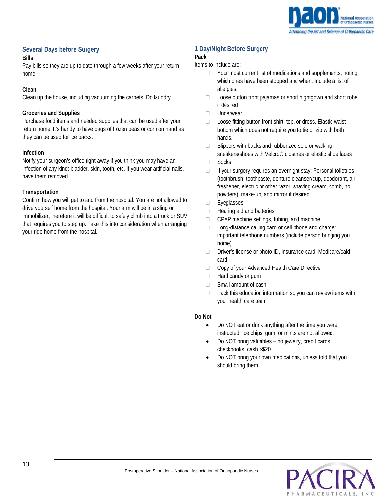

## **Several Days before Surgery**

## **Bills**

Pay bills so they are up to date through a few weeks after your return home.

## **Clean**

Clean up the house, including vacuuming the carpets. Do laundry.

## **Groceries and Supplies**

Purchase food items and needed supplies that can be used after your return home. It's handy to have bags of frozen peas or corn on hand as they can be used for ice packs.

## **Infection**

Notify your surgeon's office right away if you think you may have an infection of any kind: bladder, skin, tooth, etc. If you wear artificial nails, have them removed.

## **Transportation**

Confirm how you will get to and from the hospital. You are not allowed to drive yourself home from the hospital. Your arm will be in a sling or immobilizer, therefore it will be difficult to safely climb into a truck or SUV that requires you to step up. Take this into consideration when arranging your ride home from the hospital.

## **1 Day/Night Before Surgery**

## **Pack**

## Items to include are:

- $\Box$  Your most current list of medications and supplements, noting which ones have been stopped and when. Include a list of allergies.
- $\Box$  Loose button front pajamas or short nightgown and short robe if desired
- D Underwear
- □ Loose fitting button front shirt, top, or dress. Elastic waist bottom which does not require you to tie or zip with both hands.
- $\Box$  Slippers with backs and rubberized sole or walking sneakers/shoes with Velcro® closures or elastic shoe laces
- □ Socks
- $\Box$  If your surgery requires an overnight stay: Personal toiletries (toothbrush, toothpaste, denture cleanser/cup, deodorant, air freshener, electric or other razor, shaving cream, comb, no powders), make-up, and mirror if desired
- Eyeglasses
- $\Box$  Hearing aid and batteries
- $\Box$  CPAP machine settings, tubing, and machine
- □ Long-distance calling card or cell phone and charger, important telephone numbers (include person bringing you home)
- □ Driver's license or photo ID, insurance card, Medicare/caid card
- □ Copy of your Advanced Health Care Directive
- $\Box$  Hard candy or gum
- □ Small amount of cash
- $\Box$  Pack this education information so you can review items with your health care team

## **Do Not**

- Do NOT eat or drink anything after the time you were instructed. Ice chips, gum, or mints are not allowed.
- Do NOT bring valuables no jewelry, credit cards, checkbooks, cash >\$20
- Do NOT bring your own medications, unless told that you should bring them.

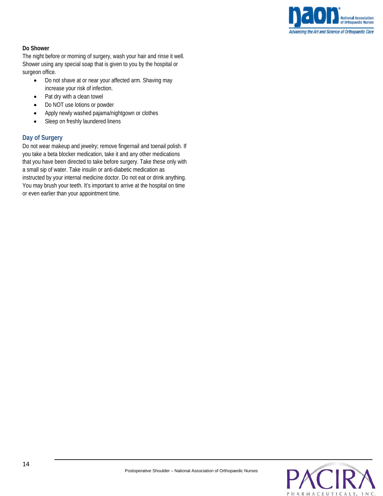

## **Do Shower**

The night before or morning of surgery, wash your hair and rinse it well. Shower using any special soap that is given to you by the hospital or surgeon office.

- Do not shave at or near your affected arm. Shaving may increase your risk of infection.
- Pat dry with a clean towel
- Do NOT use lotions or powder
- Apply newly washed pajama/nightgown or clothes
- Sleep on freshly laundered linens

## **Day of Surgery**

Do not wear makeup and jewelry; remove fingernail and toenail polish. If you take a beta blocker medication, take it and any other medications that you have been directed to take before surgery. Take these only with a small sip of water. Take insulin or anti-diabetic medication as instructed by your internal medicine doctor. Do not eat or drink anything. You may brush your teeth. It's important to arrive at the hospital on time or even earlier than your appointment time.

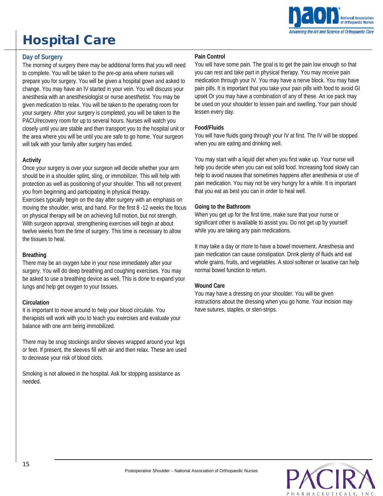## Hospital Care



## **Day of Surgery**

The morning of surgery there may be additional forms that you will need to complete. You will be taken to the pre-op area where nurses will prepare you for surgery. You will be given a hospital gown and asked to change. You may have an IV started in your vein. You will discuss your anesthesia with an anesthesiologist or nurse anesthetist. You may be given medication to relax. You will be taken to the operating room for your surgery. After your surgery is completed, you will be taken to the PACU/recovery room for up to several hours. Nurses will watch you closely until you are stable and then transport you to the hospital unit or the area where you will be until you are safe to go home. Your surgeon will talk with your family after surgery has ended.

## **Activity**

Once your surgery is over your surgeon will decide whether your arm should be in a shoulder splint, sling, or immobilizer. This will help with protection as well as positioning of your shoulder. This will not prevent you from beginning and participating in physical therapy. Exercises typically begin on the day after surgery with an emphasis on moving the shoulder, wrist, and hand. For the first 8 -12 weeks the focus on physical therapy will be on achieving full motion, but not strength. With surgeon approval, strengthening exercises will begin at about twelve weeks from the time of surgery. This time is necessary to allow the tissues to heal.

#### **Breathing**

There may be an oxygen tube in your nose immediately after your surgery. You will do deep breathing and coughing exercises. You may be asked to use a breathing device as well. This is done to expand your lungs and help get oxygen to your tissues.

## **Circulation**

It is important to move around to help your blood circulate. You therapists will work with you to teach you exercises and evaluate your balance with one arm being immobilized.

There may be snug stockings and/or sleeves wrapped around your legs or feet. If present, the sleeves fill with air and then relax. These are used to decrease your risk of blood clots.

Smoking is not allowed in the hospital. Ask for stopping assistance as needed.

## **Pain Control**

You will have some pain. The goal is to get the pain low enough so that you can rest and take part in physical therapy. You may receive pain medication through your IV. You may have a nerve block. You may have pain pills. It is important that you take your pain pills with food to avoid GI upset Or you may have a combination of any of these. An ice pack may be used on your shoulder to lessen pain and swelling. Your pain should lessen every day.

## **Food/Fluids**

You will have fluids going through your IV at first. The IV will be stopped when you are eating and drinking well.

You may start with a liquid diet when you first wake up. Your nurse will help you decide when you can eat solid food. Increasing food slowly can help to avoid nausea that sometimes happens after anesthesia or use of pain medication. You may not be very hungry for a while. It is important that you eat as best you can in order to heal well.

## **Going to the Bathroom**

When you get up for the first time, make sure that your nurse or significant other is available to assist you. Do not get up by yourself while you are taking any pain medications.

It may take a day or more to have a bowel movement. Anesthesia and pain medication can cause constipation. Drink plenty of fluids and eat whole grains, fruits, and vegetables. A stool softener or laxative can help normal bowel function to return.

## **Wound Care**

You may have a dressing on your shoulder. You will be given instructions about the dressing when you go home. Your incision may have sutures, staples, or steri-strips.

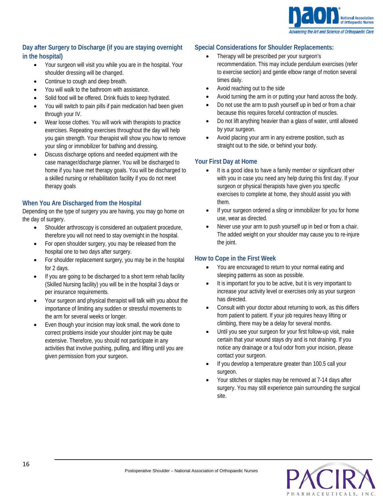

## **Day after Surgery to Discharge (if you are staying overnight in the hospital)**

- Your surgeon will visit you while you are in the hospital. Your shoulder dressing will be changed.
- Continue to cough and deep breath.
- You will walk to the bathroom with assistance.
- Solid food will be offered. Drink fluids to keep hydrated.
- You will switch to pain pills if pain medication had been given through your IV.
- Wear loose clothes. You will work with therapists to practice exercises. Repeating exercises throughout the day will help you gain strength. Your therapist will show you how to remove your sling or immobilizer for bathing and dressing.
- Discuss discharge options and needed equipment with the case manager/discharge planner. You will be discharged to home if you have met therapy goals. You will be discharged to a skilled nursing or rehabilitation facility if you do not meet therapy goals

## **When You Are Discharged from the Hospital**

Depending on the type of surgery you are having, you may go home on the day of surgery.

- Shoulder arthroscopy is considered an outpatient procedure, therefore you will not need to stay overnight in the hospital.
- For open shoulder surgery, you may be released from the hospital one to two days after surgery.
- For shoulder replacement surgery, you may be in the hospital for 2 days.
- If you are going to be discharged to a short term rehab facility (Skilled Nursing facility) you will be in the hospital 3 days or per insurance requirements.
- Your surgeon and physical therapist will talk with you about the importance of limiting any sudden or stressful movements to the arm for several weeks or longer.
- Even though your incision may look small, the work done to correct problems inside your shoulder joint may be quite extensive. Therefore, you should not participate in any activities that involve pushing, pulling, and lifting until you are given permission from your surgeon.

## **Special Considerations for Shoulder Replacements:**

- Therapy will be prescribed per your surgeon's recommendation. This may include pendulum exercises (refer to exercise section) and gentle elbow range of motion several times daily.
- Avoid reaching out to the side
- Avoid turning the arm in or putting your hand across the body.
- Do not use the arm to push yourself up in bed or from a chair because this requires forceful contraction of muscles.
- Do not lift anything heavier than a glass of water, until allowed by your surgeon.
- Avoid placing your arm in any extreme position, such as straight out to the side, or behind your body.

## **Your First Day at Home**

- It is a good idea to have a family member or significant other with you in case you need any help during this first day. If your surgeon or physical therapists have given you specific exercises to complete at home, they should assist you with them.
- If your surgeon ordered a sling or immobilizer for you for home use, wear as directed.
- Never use your arm to push yourself up in bed or from a chair. The added weight on your shoulder may cause you to re-injure the joint.

## **How to Cope in the First Week**

- You are encouraged to return to your normal eating and sleeping patterns as soon as possible.
- It is important for you to be active, but it is very important to increase your activity level or exercises only as your surgeon has directed.
- Consult with your doctor about returning to work, as this differs from patient to patient. If your job requires heavy lifting or climbing, there may be a delay for several months.
- Until you see your surgeon for your first follow-up visit, make certain that your wound stays dry and is not draining. If you notice any drainage or a foul odor from your incision, please contact your surgeon.
- If you develop a temperature greater than 100.5 call your surgeon.
- Your stitches or staples may be removed at 7-14 days after surgery. You may still experience pain surrounding the surgical site.

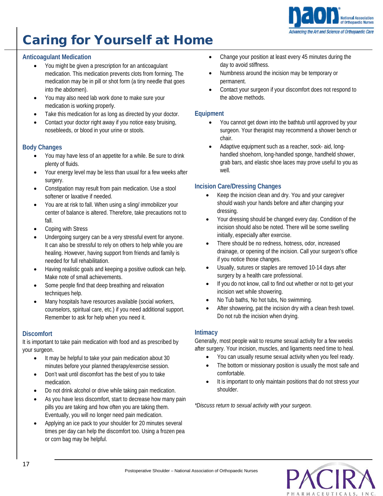

## Caring for Yourself at Home

## **Anticoagulant Medication**

- You might be given a prescription for an anticoagulant medication. This medication prevents clots from forming. The medication may be in pill or shot form (a tiny needle that goes into the abdomen).
- You may also need lab work done to make sure your medication is working properly.
- Take this medication for as long as directed by your doctor.
- Contact your doctor right away if you notice easy bruising, nosebleeds, or blood in your urine or stools.

## **Body Changes**

- You may have less of an appetite for a while. Be sure to drink plenty of fluids.
- Your energy level may be less than usual for a few weeks after surgery.
- Constipation may result from pain medication. Use a stool softener or laxative if needed.
- You are at risk to fall. When using a sling/ immobilizer your center of balance is altered. Therefore, take precautions not to fall.
- Coping with Stress
- Undergoing surgery can be a very stressful event for anyone. It can also be stressful to rely on others to help while you are healing. However, having support from friends and family is needed for full rehabilitation.
- Having realistic goals and keeping a positive outlook can help. Make note of small achievements.
- Some people find that deep breathing and relaxation techniques help.
- Many hospitals have resources available (social workers, counselors, spiritual care, etc.) if you need additional support. Remember to ask for help when you need it.

## **Discomfort**

It is important to take pain medication with food and as prescribed by your surgeon.

- It may be helpful to take your pain medication about 30 minutes before your planned therapy/exercise session.
- Don't wait until discomfort has the best of you to take medication.
- Do not drink alcohol or drive while taking pain medication.
- As you have less discomfort, start to decrease how many pain pills you are taking and how often you are taking them. Eventually, you will no longer need pain medication.
- Applying an ice pack to your shoulder for 20 minutes several times per day can help the discomfort too. Using a frozen pea or corn bag may be helpful.
- Change your position at least every 45 minutes during the day to avoid stiffness.
- Numbness around the incision may be temporary or permanent.
- Contact your surgeon if your discomfort does not respond to the above methods.

## **Equipment**

- You cannot get down into the bathtub until approved by your surgeon. Your therapist may recommend a shower bench or chair.
- Adaptive equipment such as a reacher, sock- aid, longhandled shoehorn, long-handled sponge, handheld shower, grab bars, and elastic shoe laces may prove useful to you as well.

## **Incision Care/Dressing Changes**

- Keep the incision clean and dry. You and your caregiver should wash your hands before and after changing your dressing.
- Your dressing should be changed every day. Condition of the incision should also be noted. There will be some swelling initially, especially after exercise.
- There should be no redness, hotness, odor, increased drainage, or opening of the incision. Call your surgeon's office if you notice those changes.
- Usually, sutures or staples are removed 10-14 days after surgery by a health care professional.
- If you do not know, call to find out whether or not to get your incision wet while showering.
- No Tub baths, No hot tubs, No swimming.
- After showering, pat the incision dry with a clean fresh towel. Do not rub the incision when drying.

## **Intimacy**

Generally, most people wait to resume sexual activity for a few weeks after surgery. Your incision, muscles, and ligaments need time to heal.

- You can usually resume sexual activity when you feel ready.
- The bottom or missionary position is usually the most safe and comfortable.
- It is important to only maintain positions that do not stress your shoulder.

*\*Discuss return to sexual activity with your surgeon.*

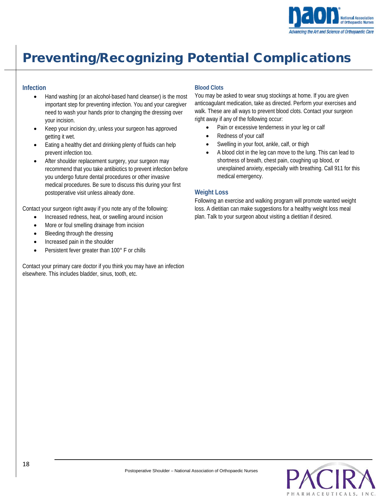

## Preventing/Recognizing Potential Complications

## **Infection**

- Hand washing (or an alcohol-based hand cleanser) is the most important step for preventing infection. You and your caregiver need to wash your hands prior to changing the dressing over your incision.
- Keep your incision dry, unless your surgeon has approved getting it wet.
- Eating a healthy diet and drinking plenty of fluids can help prevent infection too.
- After shoulder replacement surgery, your surgeon may recommend that you take antibiotics to prevent infection before you undergo future dental procedures or other invasive medical procedures. Be sure to discuss this during your first postoperative visit unless already done.

Contact your surgeon right away if you note any of the following:

- Increased redness, heat, or swelling around incision
- More or foul smelling drainage from incision
- Bleeding through the dressing
- Increased pain in the shoulder
- Persistent fever greater than 100° F or chills

Contact your primary care doctor if you think you may have an infection elsewhere. This includes bladder, sinus, tooth, etc.

## **Blood Clots**

You may be asked to wear snug stockings at home. If you are given anticoagulant medication, take as directed. Perform your exercises and walk. These are all ways to prevent blood clots. Contact your surgeon right away if any of the following occur:

- Pain or excessive tenderness in your leg or calf
- Redness of your calf
- Swelling in your foot, ankle, calf, or thigh
- A blood clot in the leg can move to the lung. This can lead to shortness of breath, chest pain, coughing up blood, or unexplained anxiety, especially with breathing. Call 911 for this medical emergency.

## **Weight Loss**

Following an exercise and walking program will promote wanted weight loss. A dietitian can make suggestions for a healthy weight loss meal plan. Talk to your surgeon about visiting a dietitian if desired.

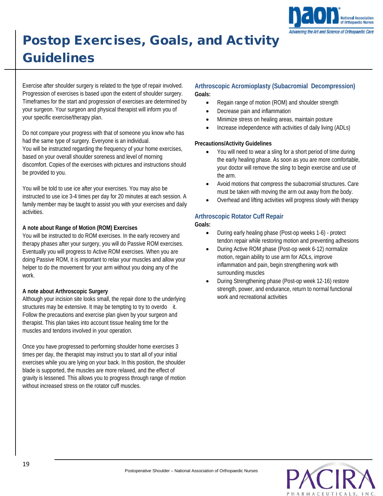

## Postop Exercises, Goals, and Activity Guidelines

Exercise after shoulder surgery is related to the type of repair involved. Progression of exercises is based upon the extent of shoulder surgery. Timeframes for the start and progression of exercises are determined by your surgeon. Your surgeon and physical therapist will inform you of your specific exercise/therapy plan.

Do not compare your progress with that of someone you know who has had the same type of surgery. Everyone is an individual. You will be instructed regarding the frequency of your home exercises, based on your overall shoulder soreness and level of morning discomfort. Copies of the exercises with pictures and instructions should be provided to you.

You will be told to use ice after your exercises. You may also be instructed to use ice 3-4 times per day for 20 minutes at each session. A family member may be taught to assist you with your exercises and daily activities.

## **A note about Range of Motion (ROM) Exercises**

You will be instructed to do ROM exercises. In the early recovery and therapy phases after your surgery, you will do Passive ROM exercises. Eventually you will progress to Active ROM exercises. When you are doing Passive ROM, it is important to relax your muscles and allow your helper to do the movement for your arm without you doing any of the work.

## **A note about Arthroscopic Surgery**

Although your incision site looks small, the repair done to the underlying structures may be extensive. It may be tempting to try to overdo it. Follow the precautions and exercise plan given by your surgeon and therapist. This plan takes into account tissue healing time for the muscles and tendons involved in your operation.

Once you have progressed to performing shoulder home exercises 3 times per day, the therapist may instruct you to start all of your initial exercises while you are lying on your back. In this position, the shoulder blade is supported, the muscles are more relaxed, and the effect of gravity is lessened. This allows you to progress through range of motion without increased stress on the rotator cuff muscles.

## **Arthroscopic Acromioplasty (Subacromial Decompression) Goals:**

- Regain range of motion (ROM) and shoulder strength
- Decrease pain and inflammation
- Minimize stress on healing areas, maintain posture
- Increase independence with activities of daily living (ADLs)

#### **Precautions/Activity Guidelines**

- You will need to wear a sling for a short period of time during the early healing phase. As soon as you are more comfortable, your doctor will remove the sling to begin exercise and use of the arm.
- Avoid motions that compress the subacromial structures. Care must be taken with moving the arm out away from the body.
- Overhead and lifting activities will progress slowly with therapy

## **Arthroscopic Rotator Cuff Repair**

#### **Goals:**

- During early healing phase (Post-op weeks 1-6) protect tendon repair while restoring motion and preventing adhesions
- During Active ROM phase (Post-op week 6-12) normalize motion, regain ability to use arm for ADLs, improve inflammation and pain, begin strengthening work with surrounding muscles
- During Strengthening phase (Post-op week 12-16) restore strength, power, and endurance, return to normal functional work and recreational activities

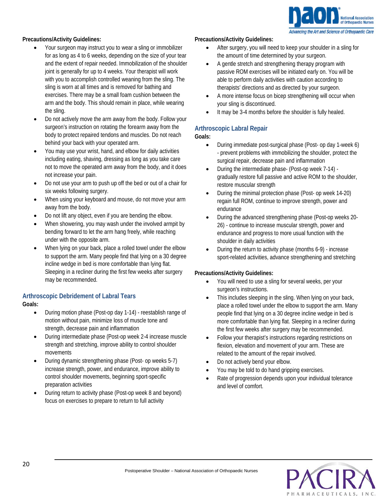

## **Precautions/Activity Guidelines:**

- Your surgeon may instruct you to wear a sling or immobilizer for as long as 4 to 6 weeks, depending on the size of your tear and the extent of repair needed. Immobilization of the shoulder joint is generally for up to 4 weeks. Your therapist will work with you to accomplish controlled weaning from the sling. The sling is worn at all times and is removed for bathing and exercises. There may be a small foam cushion between the arm and the body. This should remain in place, while wearing the sling.
- Do not actively move the arm away from the body. Follow your surgeon's instruction on rotating the forearm away from the body to protect repaired tendons and muscles. Do not reach behind your back with your operated arm.
- You may use your wrist, hand, and elbow for daily activities including eating, shaving, dressing as long as you take care not to move the operated arm away from the body, and it does not increase your pain.
- Do not use your arm to push up off the bed or out of a chair for six weeks following surgery.
- When using your keyboard and mouse, do not move your arm away from the body.
- Do not lift any object, even if you are bending the elbow.
- When showering, you may wash under the involved armpit by bending forward to let the arm hang freely, while reaching under with the opposite arm.
- When lying on your back, place a rolled towel under the elbow to support the arm. Many people find that lying on a 30 degree incline wedge in bed is more comfortable than lying flat. Sleeping in a recliner during the first few weeks after surgery may be recommended.

## **Arthroscopic Debridement of Labral Tears**

**Goals:**

- During motion phase (Post-op day 1-14) reestablish range of motion without pain, minimize loss of muscle tone and strength, decrease pain and inflammation
- During intermediate phase (Post-op week 2-4 increase muscle strength and stretching, improve ability to control shoulder movements
- During dynamic strengthening phase (Post- op weeks 5-7) increase strength, power, and endurance, improve ability to control shoulder movements, beginning sport-specific preparation activities
- During return to activity phase (Post-op week 8 and beyond) focus on exercises to prepare to return to full activity

#### **Precautions/Activity Guidelines:**

- After surgery, you will need to keep your shoulder in a sling for the amount of time determined by your surgeon.
- A gentle stretch and strengthening therapy program with passive ROM exercises will be initiated early on. You will be able to perform daily activities with caution according to therapists' directions and as directed by your surgeon.
- A more intense focus on bicep strengthening will occur when your sling is discontinued.
- It may be 3-4 months before the shoulder is fully healed.

## **Arthroscopic Labral Repair**

**Goals:**

- During immediate post-surgical phase (Post- op day 1-week 6) - prevent problems with immobilizing the shoulder, protect the surgical repair, decrease pain and inflammation
- During the intermediate phase- (Post-op week 7-14) gradually restore full passive and active ROM to the shoulder, restore muscular strength
- During the minimal protection phase (Post- op week 14-20) regain full ROM, continue to improve strength, power and endurance
- During the advanced strengthening phase (Post-op weeks 20- 26) - continue to increase muscular strength, power and endurance and progress to more usual function with the shoulder in daily activities
- During the return to activity phase (months 6-9) increase sport-related activities, advance strengthening and stretching

#### **Precautions/Activity Guidelines:**

- You will need to use a sling for several weeks, per your surgeon's instructions.
- This includes sleeping in the sling. When lying on your back, place a rolled towel under the elbow to support the arm. Many people find that lying on a 30 degree incline wedge in bed is more comfortable than lying flat. Sleeping in a recliner during the first few weeks after surgery may be recommended.
- Follow your therapist's instructions regarding restrictions on flexion, elevation and movement of your arm. These are related to the amount of the repair involved.
- Do not actively bend your elbow.
- You may be told to do hand gripping exercises.
- Rate of progression depends upon your individual tolerance and level of comfort.

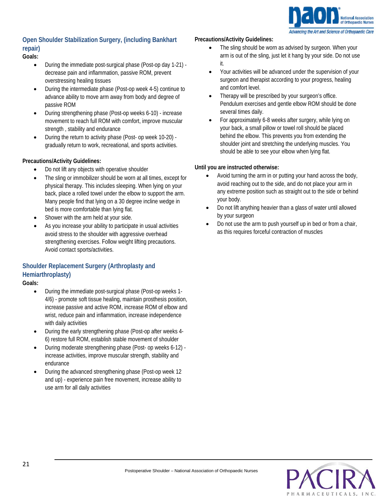

## **Open Shoulder Stabilization Surgery, (including Bankhart repair)**

## **Goals:**

- During the immediate post-surgical phase (Post-op day 1-21) decrease pain and inflammation, passive ROM, prevent overstressing healing tissues
- During the intermediate phase (Post-op week 4-5) continue to advance ability to move arm away from body and degree of passive ROM
- During strengthening phase (Post-op weeks 6-10) increase movement to reach full ROM with comfort, improve muscular strength , stability and endurance
- During the return to activity phase (Post- op week 10-20) gradually return to work, recreational, and sports activities.

## **Precautions/Activity Guidelines:**

- Do not lift any objects with operative shoulder
- The sling or immobilizer should be worn at all times, except for physical therapy. This includes sleeping. When lying on your back, place a rolled towel under the elbow to support the arm. Many people find that lying on a 30 degree incline wedge in bed is more comfortable than lying flat.
- Shower with the arm held at your side.
- As you increase your ability to participate in usual activities avoid stress to the shoulder with aggressive overhead strengthening exercises. Follow weight lifting precautions. Avoid contact sports/activities.

## **Shoulder Replacement Surgery (Arthroplasty and Hemiarthroplasty)**

**Goals:**

- During the immediate post-surgical phase (Post-op weeks 1- 4/6) - promote soft tissue healing, maintain prosthesis position, increase passive and active ROM, increase ROM of elbow and wrist, reduce pain and inflammation, increase independence with daily activities
- During the early strengthening phase (Post-op after weeks 4- 6) restore full ROM, establish stable movement of shoulder
- During moderate strengthening phase (Post- op weeks 6-12) increase activities, improve muscular strength, stability and endurance
- During the advanced strengthening phase (Post-op week 12 and up) - experience pain free movement, increase ability to use arm for all daily activities

## **Precautions/Activity Guidelines:**

- The sling should be worn as advised by surgeon. When your arm is out of the sling, just let it hang by your side. Do not use it.
- Your activities will be advanced under the supervision of your surgeon and therapist according to your progress, healing and comfort level.
- Therapy will be prescribed by your surgeon's office. Pendulum exercises and gentle elbow ROM should be done several times daily.
- For approximately 6-8 weeks after surgery, while lying on your back, a small pillow or towel roll should be placed behind the elbow. This prevents you from extending the shoulder joint and stretching the underlying muscles. You should be able to see your elbow when lying flat.

## **Until you are instructed otherwise:**

- Avoid turning the arm in or putting your hand across the body, avoid reaching out to the side, and do not place your arm in any extreme position such as straight out to the side or behind your body.
- Do not lift anything heavier than a glass of water until allowed by your surgeon
- Do not use the arm to push yourself up in bed or from a chair, as this requires forceful contraction of muscles

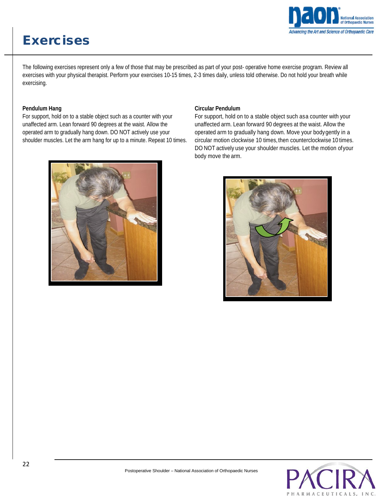## Exercises



The following exercises represent only a few of those that may be prescribed as part of your post- operative home exercise program. Review all exercises with your physical therapist. Perform your exercises 10-15 times, 2-3 times daily, unless told otherwise. Do not hold your breath while exercising.

## **Pendulum Hang**

For support, hold on to a stable object such as a counter with your unaffected arm. Lean forward 90 degrees at the waist. Allow the operated arm to gradually hang down. DO NOT actively use your shoulder muscles. Let the arm hang for up to a minute. Repeat 10 times.



#### **Circular Pendulum**

For support, hold on to a stable object such asa counter with your unaffected arm. Lean forward 90 degrees at the waist. Allow the operated arm to gradually hang down. Move your bodygently in a circular motion clockwise 10 times, then counterclockwise 10 times. DO NOT actively use your shoulder muscles. Let the motion ofyour body move the arm.



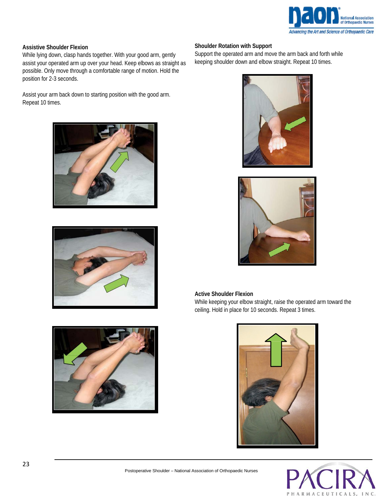

#### **Assistive Shoulder Flexion**

While lying down, clasp hands together. With your good arm, gently assist your operated arm up over your head. Keep elbows as straight as possible. Only move through a comfortable range of motion. Hold the position for 2-3 seconds.

Assist your arm back down to starting position with the good arm. Repeat 10 times.







#### **Shoulder Rotation with Support**

Support the operated arm and move the arm back and forth while keeping shoulder down and elbow straight. Repeat 10 times.





#### **Active Shoulder Flexion**

While keeping your elbow straight, raise the operated arm toward the ceiling. Hold in place for 10 seconds. Repeat 3 times.



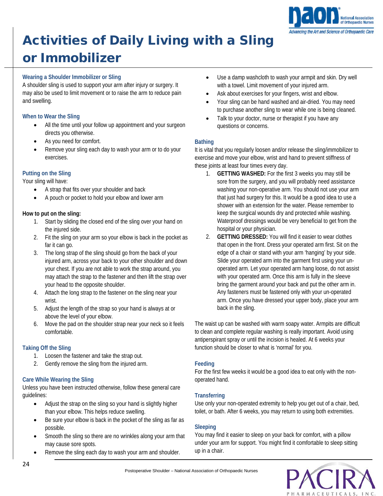

## Activities of Daily Living with a Sling

## or Immobilizer

## **Wearing a Shoulder Immobilizer or Sling**

A shoulder sling is used to support your arm after injury or surgery. It may also be used to limit movement or to raise the arm to reduce pain and swelling.

## **When to Wear the Sling**

- All the time until your follow up appointment and your surgeon directs you otherwise.
- As you need for comfort.
- Remove your sling each day to wash your arm or to do your exercises.

## **Putting on the Sling**

Your sling will have:

- A strap that fits over your shoulder and back
- A pouch or pocket to hold your elbow and lower arm

## **How to put on the sling:**

- 1. Start by sliding the closed end of the sling over your hand on the injured side.
- 2. Fit the sling on your arm so your elbow is back in the pocket as far it can go.
- 3. The long strap of the sling should go from the back of your injured arm, across your back to your other shoulder and down your chest. If you are not able to work the strap around, you may attach the strap to the fastener and then lift the strap over your head to the opposite shoulder.
- 4. Attach the long strap to the fastener on the sling near your wrist.
- 5. Adjust the length of the strap so your hand is always at or above the level of your elbow.
- 6. Move the pad on the shoulder strap near your neck so it feels comfortable.

## **Taking Off the Sling**

- 1. Loosen the fastener and take the strap out.
- 2. Gently remove the sling from the injured arm.

## **Care While Wearing the Sling**

Unless you have been instructed otherwise, follow these general care guidelines:

- Adjust the strap on the sling so your hand is slightly higher than your elbow. This helps reduce swelling.
- Be sure your elbow is back in the pocket of the sling as far as possible.
- Smooth the sling so there are no wrinkles along your arm that may cause sore spots.
- Remove the sling each day to wash your arm and shoulder.
- Use a damp washcloth to wash your armpit and skin. Dry well with a towel. Limit movement of your injured arm.
- Ask about exercises for your fingers, wrist and elbow.
- Your sling can be hand washed and air-dried. You may need to purchase another sling to wear while one is being cleaned.
- Talk to your doctor, nurse or therapist if you have any questions or concerns.

## **Bathing**

It is vital that you regularly loosen and/or release the sling/immobilizer to exercise and move your elbow, wrist and hand to prevent stiffness of these joints at least four times every day.

- 1. **GETTING WASHED:** For the first 3 weeks you may still be sore from the surgery, and you will probably need assistance washing your non-operative arm. You should not use your arm that just had surgery for this. It would be a good idea to use a shower with an extension for the water. Please remember to keep the surgical wounds dry and protected while washing. Waterproof dressings would be very beneficial to get from the hospital or your physician.
- 2. **GETTING DRESSED:** You will find it easier to wear clothes that open in the front. Dress your operated arm first. Sit on the edge of a chair or stand with your arm 'hanging' by your side. Slide your operated arm into the garment first using your unoperated arm. Let your operated arm hang loose, do not assist with your operated arm. Once this arm is fully in the sleeve bring the garment around your back and put the other arm in. Any fasteners must be fastened only with your un-operated arm. Once you have dressed your upper body, place your arm back in the sling.

The waist up can be washed with warm soapy water. Armpits are difficult to clean and complete regular washing is really important. Avoid using antiperspirant spray or until the incision is healed. At 6 weeks your function should be closer to what is 'normal' for you.

## **Feeding**

For the first few weeks it would be a good idea to eat only with the nonoperated hand.

## **Transferring**

Use only your non-operated extremity to help you get out of a chair, bed, toilet, or bath. After 6 weeks, you may return to using both extremities.

## **Sleeping**

You may find it easier to sleep on your back for comfort, with a pillow under your arm for support. You might find it comfortable to sleep sitting up in a chair.

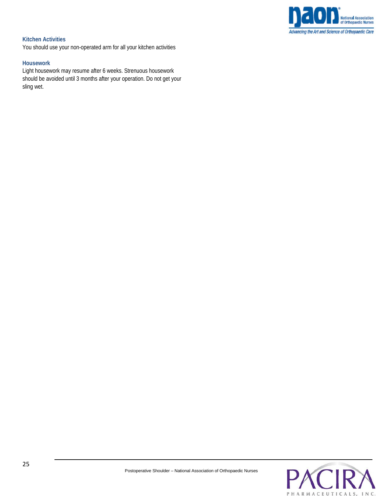

## **Kitchen Activities**

You should use your non-operated arm for all your kitchen activities

#### **Housework**

Light housework may resume after 6 weeks. Strenuous housework should be avoided until 3 months after your operation. Do not get your sling wet.

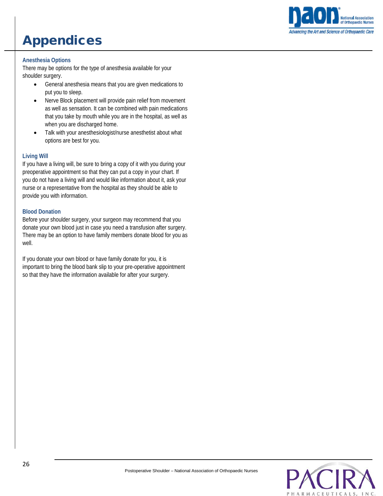## Appendices



## **Anesthesia Options**

There may be options for the type of anesthesia available for your shoulder surgery.

- General anesthesia means that you are given medications to put you to sleep.
- Nerve Block placement will provide pain relief from movement as well as sensation. It can be combined with pain medications that you take by mouth while you are in the hospital, as well as when you are discharged home.
- Talk with your anesthesiologist/nurse anesthetist about what options are best for you.

#### **Living Will**

If you have a living will, be sure to bring a copy of it with you during your preoperative appointment so that they can put a copy in your chart. If you do not have a living will and would like information about it, ask your nurse or a representative from the hospital as they should be able to provide you with information.

#### **Blood Donation**

Before your shoulder surgery, your surgeon may recommend that you donate your own blood just in case you need a transfusion after surgery. There may be an option to have family members donate blood for you as well.

If you donate your own blood or have family donate for you, it is important to bring the blood bank slip to your pre-operative appointment so that they have the information available for after your surgery.

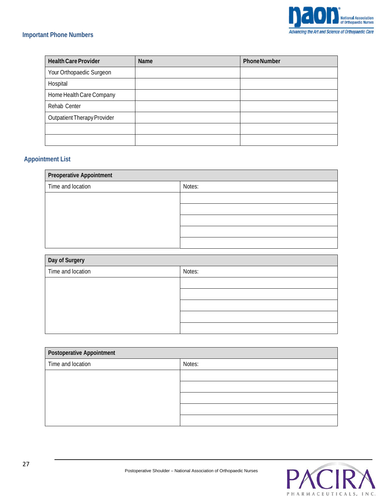

## **Important Phone Numbers**

| <b>Health Care Provider</b> | Name | <b>Phone Number</b> |
|-----------------------------|------|---------------------|
| Your Orthopaedic Surgeon    |      |                     |
| Hospital                    |      |                     |
| Home Health Care Company    |      |                     |
| Rehab Center                |      |                     |
| Outpatient Therapy Provider |      |                     |
|                             |      |                     |
|                             |      |                     |

## **Appointment List**

| <b>Preoperative Appointment</b> |        |  |
|---------------------------------|--------|--|
| Time and location               | Notes: |  |
|                                 |        |  |
|                                 |        |  |
|                                 |        |  |
|                                 |        |  |
|                                 |        |  |

| Day of Surgery    |        |
|-------------------|--------|
| Time and location | Notes: |
|                   |        |
|                   |        |
|                   |        |
|                   |        |
|                   |        |

| <b>Postoperative Appointment</b> |        |  |
|----------------------------------|--------|--|
| Time and location                | Notes: |  |
|                                  |        |  |
|                                  |        |  |
|                                  |        |  |
|                                  |        |  |
|                                  |        |  |